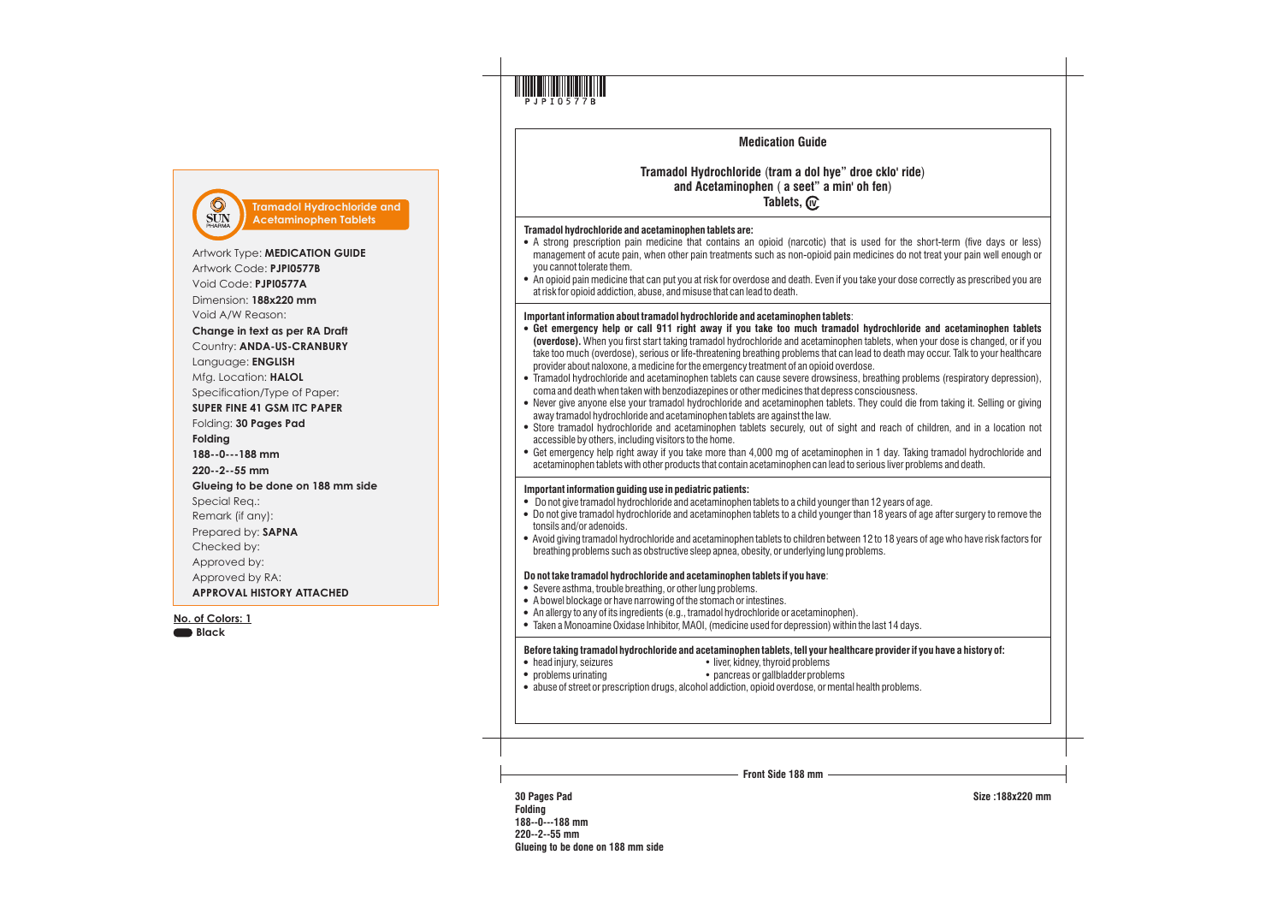

# **Medication Guide**

## **Tramadol Hydrochloride** (**tram a dol hye" droe cklo' ride**) **and Acetaminophen** ( **a seet" a min' oh fen**) **Tablets,** *(***v**

- **Tramadol hydrochloride and acetaminophen tablets are:**<br>• A strong prescription pain medicine that contains an opioid (narcotic) that is used for the short-term (five days or less) management of acute pain, when other pain treatments such as non-opioid pain medicines do not treat your pain well enough or you cannot tolerate them.
- ! An opioid pain medicine that can put you at risk for overdose and death. Even if you take your dose correctly as prescribed you are at risk for opioid addiction, abuse, and misuse that can lead to death.

## **Important information about tramadol hydrochloride and acetaminophen tablets**:

- ! **Get emergency help or call 911 right away if you take too much tramadol hydrochloride and acetaminophen tablets (overdose).** When you first start taking tramadol hydrochloride and acetaminophen tablets, when your dose is changed, or if you take too much (overdose), serious or life-threatening breathing problems that can lead to death may occur. Talk to your healthcare provider about naloxone, a medicine for the emergency treatment of an opioid overdose.
- ! Tramadol hydrochloride and acetaminophen tablets can cause severe drowsiness, breathing problems (respiratory depression), coma and death when taken with benzodiazepines or other medicines that depress consciousness.
- Never give anyone else your tramadol hydrochloride and acetaminophen tablets. They could die from taking it. Selling or giving away tramadol hydrochloride and acetaminophen tablets are against the law.
- Store tramadol hydrochloride and acetaminophen tablets securely, out of sight and reach of children, and in a location not accessible by others, including visitors to the home.
- ! Get emergency help right away if you take more than 4,000 mg of acetaminophen in 1 day. Taking tramadol hydrochloride and acetaminophen tablets with other products that contain acetaminophen can lead to serious liver problems and death.

- 
- **Important information guiding use in pediatric patients:**<br>• Do not give tramadol hydrochloride and acetaminophen tablets to a child younger than 12 years of age.<br>• Do not give tramadol hydrochloride and acetaminophen tabl tonsils and/or adenoids.
- ! Avoid giving tramadol hydrochloride and acetaminophen tablets to children between 12 to 18 years of age who have risk factors for breathing problems such as obstructive sleep apnea, obesity, or underlying lung problems.

- 
- 
- **Do not take tramadol hydrochloride and acetaminophen tablets if you have:**<br>• Severe asthma, trouble breathing, or other lung problems.<br>• A bowel blockage or have narrowing of the stomach or intestines.<br>• An allergy to any
- 

# **Before taking tramadol hydrochloride and acetaminophen tablets, tell your healthcare provider if you have a history of:**<br>• liver, kidney, thyroid problems<br>• problems urinating<br>• abuse of street or prescription drugs, alco

- 
-